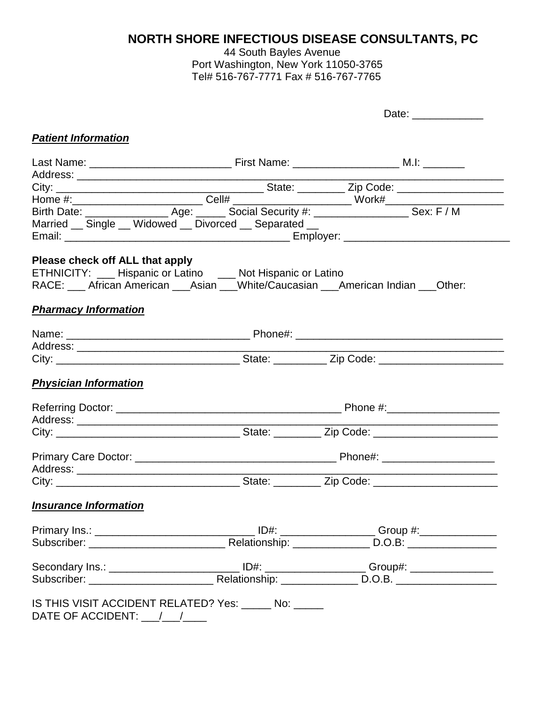## **NORTH SHORE INFECTIOUS DISEASE CONSULTANTS, PC**

44 South Bayles Avenue Port Washington, New York 11050-3765 Tel# 516-767-7771 Fax # 516-767-7765

|                                 |                                                                                                                                                  | Date: ______________                                                                                |
|---------------------------------|--------------------------------------------------------------------------------------------------------------------------------------------------|-----------------------------------------------------------------------------------------------------|
|                                 |                                                                                                                                                  |                                                                                                     |
| <b>Patient Information</b>      |                                                                                                                                                  |                                                                                                     |
|                                 |                                                                                                                                                  |                                                                                                     |
|                                 |                                                                                                                                                  |                                                                                                     |
|                                 |                                                                                                                                                  |                                                                                                     |
|                                 |                                                                                                                                                  |                                                                                                     |
|                                 |                                                                                                                                                  |                                                                                                     |
|                                 | Married __ Single __ Widowed __ Divorced __ Separated __                                                                                         |                                                                                                     |
|                                 |                                                                                                                                                  |                                                                                                     |
|                                 |                                                                                                                                                  |                                                                                                     |
| Please check off ALL that apply |                                                                                                                                                  |                                                                                                     |
|                                 | ETHNICITY: __ Hispanic or Latino __ Not Hispanic or Latino<br>RACE: __ African American ___Asian ___White/Caucasian ___American Indian ___Other: |                                                                                                     |
|                                 |                                                                                                                                                  |                                                                                                     |
| <b>Pharmacy Information</b>     |                                                                                                                                                  |                                                                                                     |
|                                 |                                                                                                                                                  |                                                                                                     |
|                                 |                                                                                                                                                  |                                                                                                     |
|                                 |                                                                                                                                                  |                                                                                                     |
|                                 |                                                                                                                                                  |                                                                                                     |
|                                 |                                                                                                                                                  |                                                                                                     |
| <b>Physician Information</b>    |                                                                                                                                                  |                                                                                                     |
|                                 |                                                                                                                                                  |                                                                                                     |
|                                 |                                                                                                                                                  |                                                                                                     |
|                                 |                                                                                                                                                  |                                                                                                     |
|                                 |                                                                                                                                                  |                                                                                                     |
|                                 |                                                                                                                                                  |                                                                                                     |
|                                 |                                                                                                                                                  |                                                                                                     |
|                                 |                                                                                                                                                  |                                                                                                     |
|                                 |                                                                                                                                                  |                                                                                                     |
| <b>Insurance Information</b>    |                                                                                                                                                  |                                                                                                     |
|                                 |                                                                                                                                                  |                                                                                                     |
|                                 |                                                                                                                                                  |                                                                                                     |
|                                 |                                                                                                                                                  |                                                                                                     |
|                                 |                                                                                                                                                  |                                                                                                     |
|                                 |                                                                                                                                                  | Secondary Ins.: ____________________________ ID#: _____________________Group#: ____________________ |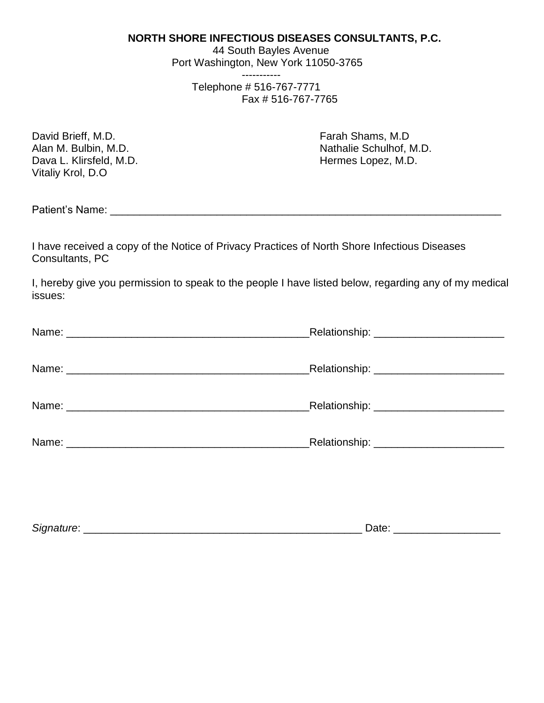## **NORTH SHORE INFECTIOUS DISEASES CONSULTANTS, P.C.**

 44 South Bayles Avenue Port Washington, New York 11050-3765 -----------

 Telephone # 516-767-7771 Fax # 516-767-7765

| David Brieff, M.D.      |  |  |  |
|-------------------------|--|--|--|
| Alan M. Bulbin, M.D.    |  |  |  |
| Dava L. Klirsfeld, M.D. |  |  |  |
| Vitaliy Krol, D.O       |  |  |  |

Farah Shams, M.D. Nathalie Schulhof, M.D. Hermes Lopez, M.D.

Patient's Name: \_\_\_\_\_\_\_\_\_\_\_\_\_\_\_\_\_\_\_\_\_\_\_\_\_\_\_\_\_\_\_\_\_\_\_\_\_\_\_\_\_\_\_\_\_\_\_\_\_\_\_\_\_\_\_\_\_\_\_\_\_\_\_\_\_\_

I have received a copy of the Notice of Privacy Practices of North Shore Infectious Diseases Consultants, PC

I, hereby give you permission to speak to the people I have listed below, regarding any of my medical issues:

| _Relationship: _________________________    |
|---------------------------------------------|
|                                             |
|                                             |
| Relationship: ____________________________  |
|                                             |
| _Relationship: ___________________________  |
|                                             |
| _Relationship: ____________________________ |
|                                             |
|                                             |
|                                             |
|                                             |
|                                             |

| $\sim$<br>51( | ╻╻╒<br>---<br>-- |
|---------------|------------------|
|               |                  |